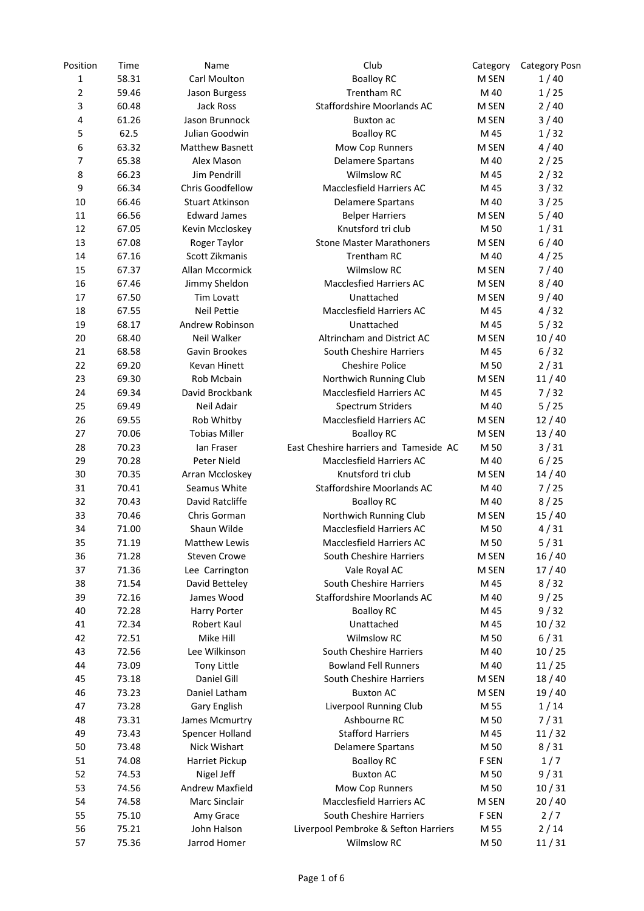| Position       | Time           | Name                            | Club                                   | Category | <b>Category Posn</b> |
|----------------|----------------|---------------------------------|----------------------------------------|----------|----------------------|
| $\mathbf 1$    | 58.31          | Carl Moulton                    | <b>Boalloy RC</b>                      | M SEN    | 1/40                 |
| $\overline{2}$ | 59.46          | Jason Burgess                   | <b>Trentham RC</b>                     | M 40     | 1/25                 |
| 3              | 60.48          | Jack Ross                       | Staffordshire Moorlands AC             | M SEN    | 2/40                 |
| 4              | 61.26          | Jason Brunnock                  | Buxton ac                              | M SEN    | 3/40                 |
| 5              | 62.5           | Julian Goodwin                  | <b>Boalloy RC</b>                      | M 45     | 1/32                 |
| 6              | 63.32          | <b>Matthew Basnett</b>          | Mow Cop Runners                        | M SEN    | 4/40                 |
| 7              | 65.38          | Alex Mason                      | <b>Delamere Spartans</b>               | M 40     | 2/25                 |
| 8              | 66.23          | Jim Pendrill                    | <b>Wilmslow RC</b>                     | M 45     | 2/32                 |
| 9              | 66.34          | Chris Goodfellow                | Macclesfield Harriers AC               | M 45     | $3/32$               |
| 10             | 66.46          | <b>Stuart Atkinson</b>          | Delamere Spartans                      | M 40     | 3/25                 |
| 11             | 66.56          | <b>Edward James</b>             | <b>Belper Harriers</b>                 | M SEN    | 5/40                 |
| 12             | 67.05          | Kevin Mccloskey                 | Knutsford tri club                     | M 50     | 1/31                 |
| 13             | 67.08          | Roger Taylor                    | <b>Stone Master Marathoners</b>        | M SEN    | 6/40                 |
| 14             | 67.16          | Scott Zikmanis                  | Trentham RC                            | M 40     | 4/25                 |
| 15             | 67.37          | Allan Mccormick                 | <b>Wilmslow RC</b>                     | M SEN    | 7/40                 |
| 16             | 67.46          | Jimmy Sheldon                   | <b>Macclesfied Harriers AC</b>         | M SEN    | 8/40                 |
| 17             | 67.50          | <b>Tim Lovatt</b>               | Unattached                             | M SEN    | 9/40                 |
| 18             | 67.55          | <b>Neil Pettie</b>              | Macclesfield Harriers AC               | M 45     | 4/32                 |
| 19             | 68.17          | Andrew Robinson                 | Unattached                             | M 45     | 5/32                 |
| 20             | 68.40          | Neil Walker                     | Altrincham and District AC             | M SEN    | 10/40                |
| 21             | 68.58          | Gavin Brookes                   | South Cheshire Harriers                | M 45     | 6/32                 |
| 22             | 69.20          | <b>Kevan Hinett</b>             | <b>Cheshire Police</b>                 | M 50     | 2/31                 |
| 23             | 69.30          | Rob Mcbain                      | Northwich Running Club                 | M SEN    | 11/40                |
| 24             | 69.34          | David Brockbank                 | Macclesfield Harriers AC               | M 45     | 7/32                 |
| 25             | 69.49          | Neil Adair                      | Spectrum Striders                      | M 40     | 5/25                 |
| 26             | 69.55          | Rob Whitby                      | Macclesfield Harriers AC               | M SEN    | 12/40                |
| 27             | 70.06          | <b>Tobias Miller</b>            | <b>Boalloy RC</b>                      | M SEN    | 13/40                |
| 28             | 70.23          | lan Fraser                      | East Cheshire harriers and Tameside AC | M 50     | 3/31                 |
| 29             | 70.28          | Peter Nield                     | Macclesfield Harriers AC               | M 40     | 6/25                 |
| 30             |                |                                 | Knutsford tri club                     |          |                      |
|                | 70.35          | Arran Mccloskey                 |                                        | M SEN    | 14/40                |
| 31             | 70.41<br>70.43 | Seamus White<br>David Ratcliffe | Staffordshire Moorlands AC             | M 40     | 7/25                 |
| 32             |                |                                 | <b>Boalloy RC</b>                      | M 40     | 8/25                 |
| 33             | 70.46          | Chris Gorman                    | Northwich Running Club                 | M SEN    | 15/40                |
| 34             | 71.00          | Shaun Wilde                     | Macclesfield Harriers AC               | M 50     | 4/31                 |
| 35             | 71.19          | <b>Matthew Lewis</b>            | Macclesfield Harriers AC               | M 50     | 5/31                 |
| 36             | 71.28          | <b>Steven Crowe</b>             | South Cheshire Harriers                | M SEN    | 16/40                |
| 37             | 71.36          | Lee Carrington                  | Vale Royal AC                          | M SEN    | 17/40                |
| 38             | 71.54          | David Betteley                  | South Cheshire Harriers                | M 45     | 8/32                 |
| 39             | 72.16          | James Wood                      | Staffordshire Moorlands AC             | M 40     | 9/25                 |
| 40             | 72.28          | Harry Porter                    | <b>Boalloy RC</b>                      | M 45     | 9/32                 |
| 41             | 72.34          | Robert Kaul                     | Unattached                             | M 45     | 10/32                |
| 42             | 72.51          | Mike Hill                       | Wilmslow RC                            | M 50     | 6/31                 |
| 43             | 72.56          | Lee Wilkinson                   | South Cheshire Harriers                | M 40     | 10/25                |
| 44             | 73.09          | <b>Tony Little</b>              | <b>Bowland Fell Runners</b>            | M 40     | 11/25                |
| 45             | 73.18          | Daniel Gill                     | South Cheshire Harriers                | M SEN    | 18/40                |
| 46             | 73.23          | Daniel Latham                   | <b>Buxton AC</b>                       | M SEN    | 19/40                |
| 47             | 73.28          | Gary English                    | Liverpool Running Club                 | M 55     | 1/14                 |
| 48             | 73.31          | James Mcmurtry                  | Ashbourne RC                           | M 50     | 7/31                 |
| 49             | 73.43          | Spencer Holland                 | <b>Stafford Harriers</b>               | M 45     | 11/32                |
| 50             | 73.48          | Nick Wishart                    | Delamere Spartans                      | M 50     | 8/31                 |
| 51             | 74.08          | Harriet Pickup                  | <b>Boalloy RC</b>                      | F SEN    | 1/7                  |
| 52             | 74.53          | Nigel Jeff                      | <b>Buxton AC</b>                       | M 50     | 9/31                 |
| 53             | 74.56          | <b>Andrew Maxfield</b>          | Mow Cop Runners                        | M 50     | 10/31                |
| 54             | 74.58          | Marc Sinclair                   | <b>Macclesfield Harriers AC</b>        | M SEN    | 20/40                |
| 55             | 75.10          | Amy Grace                       | South Cheshire Harriers                | F SEN    | 2/7                  |
| 56             | 75.21          | John Halson                     | Liverpool Pembroke & Sefton Harriers   | M 55     | 2/14                 |
| 57             | 75.36          | Jarrod Homer                    | Wilmslow RC                            | M 50     | 11/31                |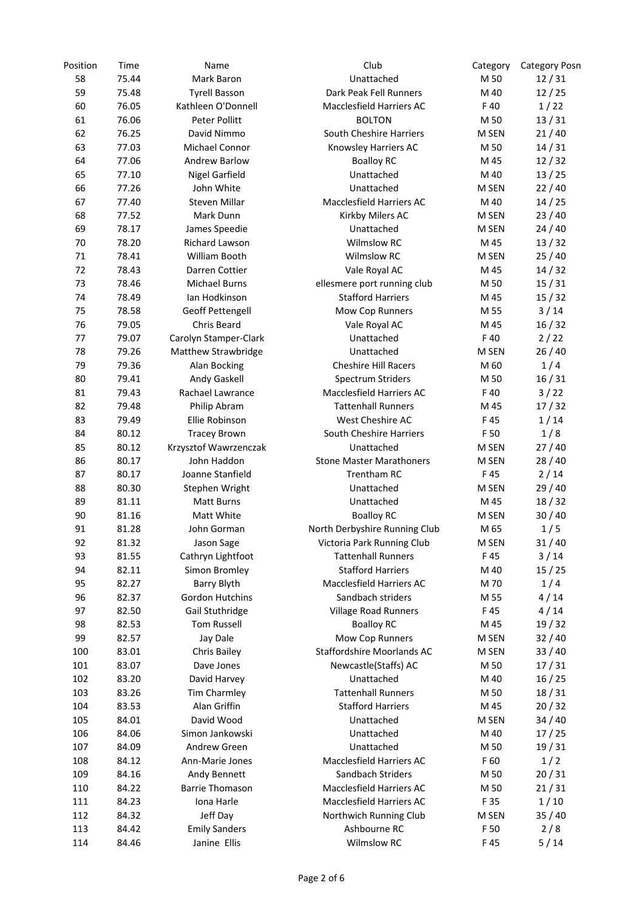| Position | Time  | Name                   | Club                            | Category | <b>Category Posn</b> |
|----------|-------|------------------------|---------------------------------|----------|----------------------|
| 58       | 75.44 | Mark Baron             | Unattached                      | M 50     | 12/31                |
| 59       | 75.48 | <b>Tyrell Basson</b>   | Dark Peak Fell Runners          | M 40     | 12/25                |
| 60       | 76.05 | Kathleen O'Donnell     | <b>Macclesfield Harriers AC</b> | F 40     | 1/22                 |
| 61       | 76.06 | Peter Pollitt          | <b>BOLTON</b>                   | M 50     | 13/31                |
| 62       | 76.25 | David Nimmo            | South Cheshire Harriers         | M SEN    | 21/40                |
| 63       | 77.03 | Michael Connor         | Knowsley Harriers AC            | M 50     | 14/31                |
| 64       | 77.06 | <b>Andrew Barlow</b>   | <b>Boalloy RC</b>               | M 45     | 12/32                |
| 65       | 77.10 | <b>Nigel Garfield</b>  | Unattached                      | M 40     | 13/25                |
| 66       | 77.26 | John White             | Unattached                      | M SEN    | 22/40                |
| 67       | 77.40 | Steven Millar          | Macclesfield Harriers AC        | M 40     | 14/25                |
| 68       | 77.52 | Mark Dunn              | Kirkby Milers AC                | M SEN    | 23/40                |
| 69       | 78.17 | James Speedie          | Unattached                      | M SEN    | 24/40                |
| 70       | 78.20 | Richard Lawson         | <b>Wilmslow RC</b>              | M 45     | 13/32                |
| $71\,$   | 78.41 | William Booth          | <b>Wilmslow RC</b>              | M SEN    | 25/40                |
| 72       | 78.43 | Darren Cottier         | Vale Royal AC                   | M 45     | 14/32                |
| 73       | 78.46 | <b>Michael Burns</b>   | ellesmere port running club     | M 50     | 15/31                |
| 74       | 78.49 | Ian Hodkinson          | <b>Stafford Harriers</b>        | M 45     | 15/32                |
| 75       | 78.58 | Geoff Pettengell       | Mow Cop Runners                 | M 55     | $3/14$               |
| 76       | 79.05 | Chris Beard            | Vale Royal AC                   | M 45     | 16/32                |
| 77       | 79.07 | Carolyn Stamper-Clark  | Unattached                      | F 40     | 2/22                 |
| 78       | 79.26 | Matthew Strawbridge    | Unattached                      | M SEN    | 26/40                |
| 79       | 79.36 | Alan Bocking           | Cheshire Hill Racers            | M 60     | 1/4                  |
| 80       | 79.41 | Andy Gaskell           | Spectrum Striders               | M 50     | 16/31                |
| 81       | 79.43 | Rachael Lawrance       | Macclesfield Harriers AC        | F 40     | 3/22                 |
| 82       | 79.48 | Philip Abram           | <b>Tattenhall Runners</b>       | M 45     | 17/32                |
| 83       | 79.49 | Ellie Robinson         | West Cheshire AC                | F 45     | 1/14                 |
| 84       | 80.12 | <b>Tracey Brown</b>    | South Cheshire Harriers         | F 50     | 1/8                  |
| 85       | 80.12 | Krzysztof Wawrzenczak  | Unattached                      | M SEN    | 27/40                |
| 86       | 80.17 | John Haddon            | <b>Stone Master Marathoners</b> | M SEN    | 28/40                |
| 87       | 80.17 | Joanne Stanfield       | <b>Trentham RC</b>              | F 45     | 2/14                 |
| 88       | 80.30 | Stephen Wright         | Unattached                      | M SEN    | 29/40                |
| 89       | 81.11 | Matt Burns             | Unattached                      | M 45     | 18/32                |
| 90       | 81.16 | Matt White             | <b>Boalloy RC</b>               | M SEN    | 30/40                |
| 91       | 81.28 | John Gorman            | North Derbyshire Running Club   | M 65     | 1/5                  |
| 92       | 81.32 | Jason Sage             | Victoria Park Running Club      | M SEN    | 31/40                |
| 93       | 81.55 | Cathryn Lightfoot      | <b>Tattenhall Runners</b>       | F 45     | 3/14                 |
| 94       | 82.11 | Simon Bromley          | <b>Stafford Harriers</b>        | M 40     | 15/25                |
| 95       | 82.27 | Barry Blyth            | Macclesfield Harriers AC        | M 70     | 1/4                  |
| 96       | 82.37 | <b>Gordon Hutchins</b> | Sandbach striders               | M 55     | 4/14                 |
| 97       | 82.50 | Gail Stuthridge        | <b>Village Road Runners</b>     | F 45     | 4/14                 |
| 98       | 82.53 | <b>Tom Russell</b>     | <b>Boalloy RC</b>               | M 45     | 19/32                |
| 99       | 82.57 | Jay Dale               | Mow Cop Runners                 | M SEN    | 32/40                |
| 100      | 83.01 | Chris Bailey           | Staffordshire Moorlands AC      | M SEN    | 33/40                |
| 101      | 83.07 | Dave Jones             | Newcastle(Staffs) AC            | M 50     | 17/31                |
| 102      | 83.20 | David Harvey           | Unattached                      | M 40     | 16/25                |
| 103      | 83.26 | <b>Tim Charmley</b>    | <b>Tattenhall Runners</b>       | M 50     | 18/31                |
| 104      | 83.53 | Alan Griffin           | <b>Stafford Harriers</b>        | M 45     | 20/32                |
| 105      | 84.01 | David Wood             | Unattached                      | M SEN    | 34/40                |
| 106      | 84.06 | Simon Jankowski        | Unattached                      | M 40     | 17/25                |
| 107      | 84.09 | Andrew Green           | Unattached                      | M 50     | 19/31                |
| 108      | 84.12 | Ann-Marie Jones        | Macclesfield Harriers AC        | F 60     | 1/2                  |
| 109      | 84.16 | Andy Bennett           | Sandbach Striders               | M 50     | 20/31                |
| 110      | 84.22 | <b>Barrie Thomason</b> | Macclesfield Harriers AC        | M 50     | 21/31                |
| 111      | 84.23 | Iona Harle             | Macclesfield Harriers AC        | F 35     | 1/10                 |
| 112      | 84.32 | Jeff Day               | Northwich Running Club          | M SEN    | 35/40                |
| 113      | 84.42 | <b>Emily Sanders</b>   | Ashbourne RC                    | F 50     | 2/8                  |
| 114      | 84.46 | Janine Ellis           | Wilmslow RC                     | F45      | 5/14                 |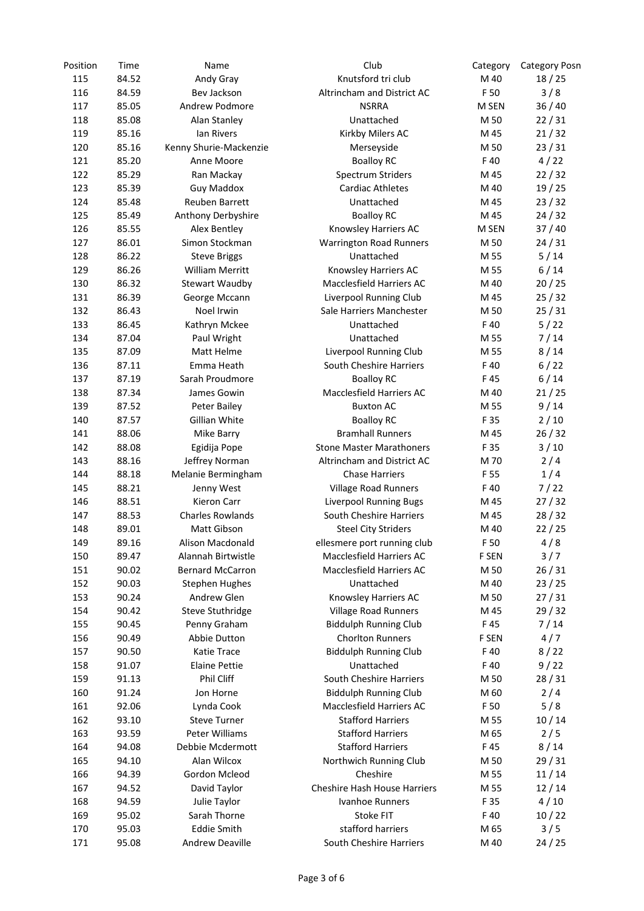| Position | Time  | Name                                   | Club                            | Category     | <b>Category Posn</b> |
|----------|-------|----------------------------------------|---------------------------------|--------------|----------------------|
| 115      | 84.52 | Andy Gray                              | Knutsford tri club              | M 40         | 18/25                |
| 116      | 84.59 | Bev Jackson                            | Altrincham and District AC      | F 50         | 3/8                  |
| 117      | 85.05 | Andrew Podmore                         | <b>NSRRA</b>                    | M SEN        | 36/40                |
| 118      | 85.08 | Alan Stanley                           | Unattached                      | M 50         | 22/31                |
| 119      | 85.16 | Ian Rivers                             | Kirkby Milers AC                | M 45         | 21/32                |
| 120      | 85.16 | Kenny Shurie-Mackenzie                 | Merseyside                      | M 50         | 23/31                |
| 121      | 85.20 | Anne Moore                             | <b>Boalloy RC</b>               | F 40         | 4/22                 |
| 122      | 85.29 | Ran Mackay                             | Spectrum Striders               | M 45         | 22/32                |
| 123      | 85.39 | <b>Guy Maddox</b>                      | <b>Cardiac Athletes</b>         | M 40         | 19/25                |
| 124      | 85.48 | <b>Reuben Barrett</b>                  | Unattached                      | M 45         | 23/32                |
| 125      | 85.49 | Anthony Derbyshire                     | <b>Boalloy RC</b>               | M 45         | 24/32                |
| 126      | 85.55 | Alex Bentley                           | Knowsley Harriers AC            | M SEN        | 37/40                |
| 127      | 86.01 | Simon Stockman                         | <b>Warrington Road Runners</b>  | M 50         | 24/31                |
| 128      | 86.22 | <b>Steve Briggs</b>                    | Unattached                      | M 55         | 5/14                 |
| 129      | 86.26 | <b>William Merritt</b>                 | Knowsley Harriers AC            | M 55         | 6/14                 |
| 130      | 86.32 | <b>Stewart Waudby</b>                  | Macclesfield Harriers AC        | M 40         | 20/25                |
| 131      | 86.39 | George Mccann                          | <b>Liverpool Running Club</b>   | M 45         | 25/32                |
| 132      | 86.43 | Noel Irwin                             | Sale Harriers Manchester        | M 50         | 25/31                |
| 133      | 86.45 | Kathryn Mckee                          | Unattached                      | F 40         | 5/22                 |
| 134      | 87.04 | Paul Wright                            | Unattached                      | M 55         | 7/14                 |
| 135      | 87.09 | Matt Helme                             | Liverpool Running Club          | M 55         | 8/14                 |
| 136      | 87.11 | Emma Heath                             | South Cheshire Harriers         | F 40         | 6/22                 |
| 137      | 87.19 | Sarah Proudmore                        | <b>Boalloy RC</b>               | F 45         | 6/14                 |
| 138      | 87.34 | James Gowin                            | Macclesfield Harriers AC        | M 40         | 21/25                |
| 139      | 87.52 | Peter Bailey                           | <b>Buxton AC</b>                | M 55         | 9/14                 |
| 140      | 87.57 | Gillian White                          | <b>Boalloy RC</b>               | F 35         | 2/10                 |
| 141      | 88.06 | Mike Barry                             | <b>Bramhall Runners</b>         | M 45         | 26/32                |
| 142      | 88.08 | Egidija Pope                           | <b>Stone Master Marathoners</b> | F 35         | 3/10                 |
| 143      | 88.16 | Jeffrey Norman                         | Altrincham and District AC      | M 70         | 2/4                  |
| 144      | 88.18 | Melanie Bermingham                     | <b>Chase Harriers</b>           | F 55         | 1/4                  |
| 145      | 88.21 | Jenny West                             | <b>Village Road Runners</b>     | F 40         | 7/22                 |
| 146      | 88.51 |                                        |                                 |              |                      |
| 147      | 88.53 | Kieron Carr<br><b>Charles Rowlands</b> | <b>Liverpool Running Bugs</b>   | M 45         | 27/32                |
| 148      | 89.01 | Matt Gibson                            | South Cheshire Harriers         | M 45<br>M 40 | 28/32<br>22/25       |
| 149      | 89.16 |                                        | <b>Steel City Striders</b>      | F 50         |                      |
|          |       | Alison Macdonald                       | ellesmere port running club     |              | 4/8                  |
| 150      | 89.47 | Alannah Birtwistle                     | Macclesfield Harriers AC        | F SEN        | 3/7                  |
| 151      | 90.02 | <b>Bernard McCarron</b>                | Macclesfield Harriers AC        | M 50         | 26/31                |
| 152      | 90.03 | <b>Stephen Hughes</b>                  | Unattached                      | M 40         | 23/25                |
| 153      | 90.24 | Andrew Glen                            | Knowsley Harriers AC            | M 50         | 27/31                |
| 154      | 90.42 | <b>Steve Stuthridge</b>                | <b>Village Road Runners</b>     | M 45         | 29/32                |
| 155      | 90.45 | Penny Graham                           | <b>Biddulph Running Club</b>    | F 45         | 7/14                 |
| 156      | 90.49 | Abbie Dutton                           | <b>Chorlton Runners</b>         | F SEN        | 4/7                  |
| 157      | 90.50 | Katie Trace                            | <b>Biddulph Running Club</b>    | F 40         | 8/22                 |
| 158      | 91.07 | <b>Elaine Pettie</b>                   | Unattached                      | F 40         | 9/22                 |
| 159      | 91.13 | Phil Cliff                             | South Cheshire Harriers         | M 50         | 28/31                |
| 160      | 91.24 | Jon Horne                              | <b>Biddulph Running Club</b>    | M 60         | 2/4                  |
| 161      | 92.06 | Lynda Cook                             | Macclesfield Harriers AC        | F 50         | 5/8                  |
| 162      | 93.10 | <b>Steve Turner</b>                    | <b>Stafford Harriers</b>        | M 55         | 10/14                |
| 163      | 93.59 | Peter Williams                         | <b>Stafford Harriers</b>        | M 65         | 2/5                  |
| 164      | 94.08 | Debbie Mcdermott                       | <b>Stafford Harriers</b>        | F 45         | 8/14                 |
| 165      | 94.10 | Alan Wilcox                            | Northwich Running Club          | M 50         | 29/31                |
| 166      | 94.39 | Gordon Mcleod                          | Cheshire                        | M 55         | 11/14                |
| 167      | 94.52 | David Taylor                           | Cheshire Hash House Harriers    | M 55         | 12/14                |
| 168      | 94.59 | Julie Taylor                           | Ivanhoe Runners                 | F 35         | 4/10                 |
| 169      | 95.02 | Sarah Thorne                           | <b>Stoke FIT</b>                | F 40         | 10/22                |
| 170      | 95.03 | <b>Eddie Smith</b>                     | stafford harriers               | M 65         | 3/5                  |
| 171      | 95.08 | Andrew Deaville                        | South Cheshire Harriers         | M 40         | 24/25                |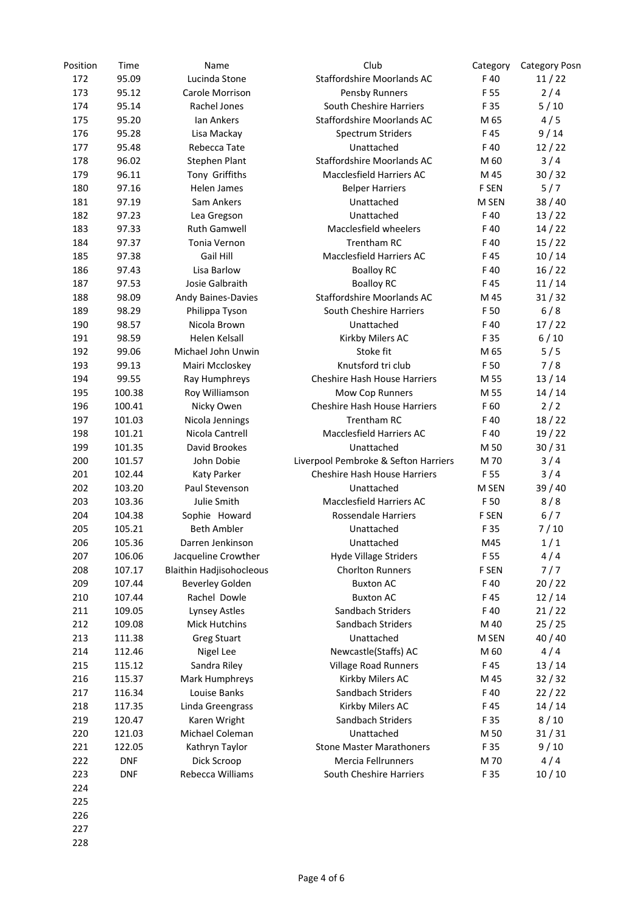| Position | Time       | Name                            | Club                                 | Category | <b>Category Posn</b> |
|----------|------------|---------------------------------|--------------------------------------|----------|----------------------|
| 172      | 95.09      | Lucinda Stone                   | <b>Staffordshire Moorlands AC</b>    | F 40     | 11/22                |
| 173      | 95.12      | Carole Morrison                 | Pensby Runners                       | F 55     | 2/4                  |
| 174      | 95.14      | Rachel Jones                    | South Cheshire Harriers              | F 35     | 5/10                 |
| 175      | 95.20      | <b>Ian Ankers</b>               | Staffordshire Moorlands AC           | M 65     | 4/5                  |
| 176      | 95.28      | Lisa Mackay                     | <b>Spectrum Striders</b>             | F45      | 9/14                 |
| 177      | 95.48      | Rebecca Tate                    | Unattached                           | F 40     | 12/22                |
| 178      | 96.02      | <b>Stephen Plant</b>            | Staffordshire Moorlands AC           | M 60     | 3/4                  |
| 179      | 96.11      | Tony Griffiths                  | Macclesfield Harriers AC             | M 45     | 30/32                |
| 180      | 97.16      | Helen James                     | <b>Belper Harriers</b>               | F SEN    | 5/7                  |
| 181      | 97.19      | Sam Ankers                      | Unattached                           | M SEN    | 38/40                |
| 182      | 97.23      | Lea Gregson                     | Unattached                           | F40      | 13/22                |
| 183      | 97.33      | <b>Ruth Gamwell</b>             | Macclesfield wheelers                | F40      | 14/22                |
| 184      | 97.37      | Tonia Vernon                    | Trentham RC                          | F40      | 15/22                |
| 185      | 97.38      | Gail Hill                       | Macclesfield Harriers AC             | F45      | 10/14                |
| 186      | 97.43      | Lisa Barlow                     | <b>Boalloy RC</b>                    | F40      | 16/22                |
| 187      | 97.53      | Josie Galbraith                 | <b>Boalloy RC</b>                    | F45      | 11/14                |
| 188      | 98.09      | <b>Andy Baines-Davies</b>       | Staffordshire Moorlands AC           | M 45     | 31/32                |
| 189      | 98.29      | Philippa Tyson                  | South Cheshire Harriers              | F 50     | 6/8                  |
| 190      | 98.57      | Nicola Brown                    | Unattached                           | F 40     | 17/22                |
| 191      | 98.59      | Helen Kelsall                   | Kirkby Milers AC                     | F 35     | 6/10                 |
| 192      | 99.06      | Michael John Unwin              | Stoke fit                            | M 65     | 5/5                  |
| 193      | 99.13      | Mairi Mccloskey                 | Knutsford tri club                   | F 50     | 7/8                  |
| 194      | 99.55      | Ray Humphreys                   | Cheshire Hash House Harriers         | M 55     | 13/14                |
| 195      | 100.38     | Roy Williamson                  | Mow Cop Runners                      | M 55     | 14/14                |
| 196      | 100.41     | Nicky Owen                      | <b>Cheshire Hash House Harriers</b>  | F 60     | 2/2                  |
| 197      | 101.03     | Nicola Jennings                 | Trentham RC                          | F40      | 18/22                |
| 198      | 101.21     | Nicola Cantrell                 | Macclesfield Harriers AC             | F 40     | 19/22                |
| 199      | 101.35     | David Brookes                   | Unattached                           | M 50     | 30/31                |
| 200      | 101.57     | John Dobie                      | Liverpool Pembroke & Sefton Harriers | M 70     | 3/4                  |
| 201      | 102.44     | Katy Parker                     | <b>Cheshire Hash House Harriers</b>  | F 55     | 3/4                  |
| 202      | 103.20     | Paul Stevenson                  | Unattached                           | M SEN    | 39/40                |
| 203      | 103.36     | Julie Smith                     | Macclesfield Harriers AC             | F 50     | 8/8                  |
| 204      | 104.38     | Sophie Howard                   | Rossendale Harriers                  | F SEN    | 6/7                  |
| 205      | 105.21     | <b>Beth Ambler</b>              | Unattached                           | F 35     | 7/10                 |
| 206      | 105.36     | Darren Jenkinson                | Unattached                           | M45      | 1/1                  |
| 207      | 106.06     | Jacqueline Crowther             | Hyde Village Striders                | F 55     | 4/4                  |
| 208      | 107.17     | <b>Blaithin Hadjisohocleous</b> | <b>Chorlton Runners</b>              | F SEN    | 7/7                  |
| 209      | 107.44     | <b>Beverley Golden</b>          | <b>Buxton AC</b>                     | F 40     | 20/22                |
| 210      | 107.44     | Rachel Dowle                    | <b>Buxton AC</b>                     | F45      | 12/14                |
| 211      | 109.05     | <b>Lynsey Astles</b>            | Sandbach Striders                    | F 40     | 21/22                |
| 212      | 109.08     | <b>Mick Hutchins</b>            | Sandbach Striders                    | M 40     | 25/25                |
| 213      | 111.38     | <b>Greg Stuart</b>              | Unattached                           | M SEN    | 40 / 40              |
| 214      | 112.46     | Nigel Lee                       | Newcastle(Staffs) AC                 | M 60     | 4/4                  |
| 215      | 115.12     | Sandra Riley                    | <b>Village Road Runners</b>          | F 45     | 13/14                |
| 216      | 115.37     | Mark Humphreys                  | Kirkby Milers AC                     | M 45     | 32/32                |
| 217      | 116.34     | Louise Banks                    | Sandbach Striders                    | F 40     | 22/22                |
| 218      | 117.35     | Linda Greengrass                | Kirkby Milers AC                     | F 45     | 14/14                |
| 219      | 120.47     | Karen Wright                    | Sandbach Striders                    | F 35     | 8/10                 |
| 220      | 121.03     | Michael Coleman                 | Unattached                           | M 50     | 31/31                |
| 221      | 122.05     | Kathryn Taylor                  | <b>Stone Master Marathoners</b>      | F 35     | 9/10                 |
| 222      | <b>DNF</b> | Dick Scroop                     | Mercia Fellrunners                   | M 70     | 4/4                  |
| 223      | <b>DNF</b> | Rebecca Williams                | South Cheshire Harriers              | F 35     | 10/10                |
| 224      |            |                                 |                                      |          |                      |
| 225      |            |                                 |                                      |          |                      |
| 226      |            |                                 |                                      |          |                      |
|          |            |                                 |                                      |          |                      |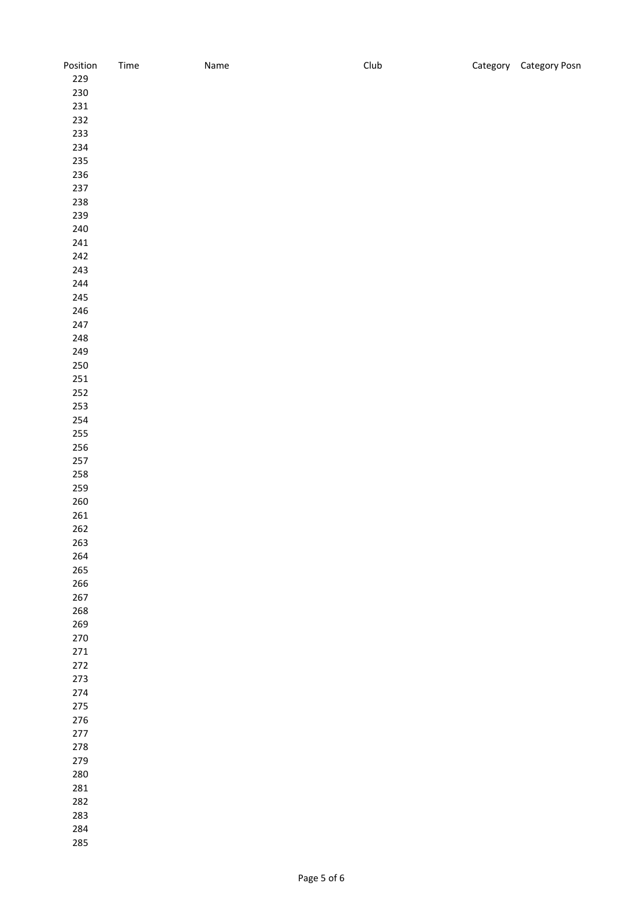| Position    | Time | Name | Club | Category Category Posn |
|-------------|------|------|------|------------------------|
| 229         |      |      |      |                        |
| 230         |      |      |      |                        |
| 231         |      |      |      |                        |
| 232         |      |      |      |                        |
| 233         |      |      |      |                        |
| 234         |      |      |      |                        |
| 235         |      |      |      |                        |
|             |      |      |      |                        |
| 236         |      |      |      |                        |
| 237         |      |      |      |                        |
| 238         |      |      |      |                        |
| 239         |      |      |      |                        |
| 240         |      |      |      |                        |
| 241         |      |      |      |                        |
| 242         |      |      |      |                        |
| 243         |      |      |      |                        |
| 244         |      |      |      |                        |
| 245         |      |      |      |                        |
| 246         |      |      |      |                        |
| 247         |      |      |      |                        |
| 248         |      |      |      |                        |
| 249         |      |      |      |                        |
| 250         |      |      |      |                        |
| $251\,$     |      |      |      |                        |
| 252         |      |      |      |                        |
| 253         |      |      |      |                        |
|             |      |      |      |                        |
| 254         |      |      |      |                        |
| 255         |      |      |      |                        |
| 256         |      |      |      |                        |
| 257         |      |      |      |                        |
| 258         |      |      |      |                        |
| 259         |      |      |      |                        |
| $260\,$     |      |      |      |                        |
| ${\bf 261}$ |      |      |      |                        |
| 262         |      |      |      |                        |
| 263         |      |      |      |                        |
| 264         |      |      |      |                        |
| 265         |      |      |      |                        |
| 266         |      |      |      |                        |
| 267         |      |      |      |                        |
| 268         |      |      |      |                        |
| 269         |      |      |      |                        |
| 270         |      |      |      |                        |
| $271\,$     |      |      |      |                        |
| $272\,$     |      |      |      |                        |
| 273         |      |      |      |                        |
| 274         |      |      |      |                        |
| 275         |      |      |      |                        |
| 276         |      |      |      |                        |
| 277         |      |      |      |                        |
| 278         |      |      |      |                        |
| 279         |      |      |      |                        |
| 280         |      |      |      |                        |
| 281         |      |      |      |                        |
| 282         |      |      |      |                        |
|             |      |      |      |                        |
| 283         |      |      |      |                        |
| 284         |      |      |      |                        |